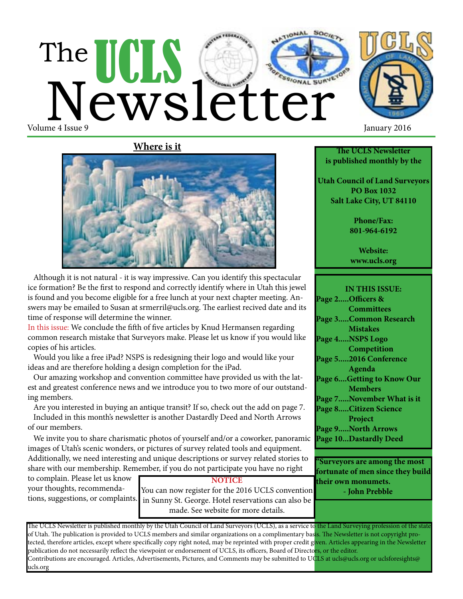# The UCLS Cetter Volume 4 Issue 9 January 2016





 Although it is not natural - it is way impressive. Can you identify this spectacular ice formation? Be the first to respond and correctly identify where in Utah this jewel is found and you become eligible for a free lunch at your next chapter meeting. Answers may be emailed to Susan at srmerril@ucls.org. The earliest recived date and its time of response will determine the winner.

In this issue: We conclude the fifth of five articles by Knud Hermansen regarding common research mistake that Surveyors make. Please let us know if you would like copies of his articles.

 Would you like a free iPad? NSPS is redesigning their logo and would like your ideas and are therefore holding a design completion for the iPad.

 Our amazing workshop and convention committee have provided us with the latest and greatest conference news and we introduce you to two more of our outstanding members.

 Are you interested in buying an antique transit? If so, check out the add on page 7. Included in this month's newsletter is another Dastardly Deed and North Arrows of our members.

 We invite you to share charismatic photos of yourself and/or a coworker, panoramic images of Utah's scenic wonders, or pictures of survey related tools and equipment. Additionally, we need interesting and unique descriptions or survey related stories to share with our membership. Remember, if you do not participate you have no right

to complain. Please let us know your thoughts, recommendations, suggestions, or complaints.

**NOTICE** You can now register for the 2016 UCLS convention in Sunny St. George. Hotel reservations can also be made. See website for more details.

The UCLS Newsletter is published monthly by the Utah Council of Land Surveyors (UCLS), as a service to the Land Surveying profession of the state of Utah. The publication is provided to UCLS members and similar organizations on a complimentary basis. The Newsletter is not copyright protected, therefore articles, except where specifically copy right noted, may be reprinted with proper credit given. Articles appearing in the Newsletter publication do not necessarily reflect the viewpoint or endorsement of UCLS, its officers, Board of Directors, or the editor. Contributions are encouraged. Articles, Advertisements, Pictures, and Comments may be submitted to UCLS at ucls@ucls.org or uclsforesights@ ucls.org

**The UCLS Newsletter is published monthly by the**

**Utah Council of Land Surveyors PO Box 1032 Salt Lake City, UT 84110**

> **Phone/Fax: 801-964-6192**

**Website: www.ucls.org**

**IN THIS ISSUE: Page 2.....Officers & Committees Page 3.....Common Research Mistakes Page 4.....NSPS Logo Competition Page 5.....2016 Conference Agenda Page 6....Getting to Know Our Members Page 7.....November What is it Page 8.....Citizen Science Project Page 9.....North Arrows Page 10...Dastardly Deed**

**"Surveyors are among the most fortunate of men since they build their own monumets. - John Prebble**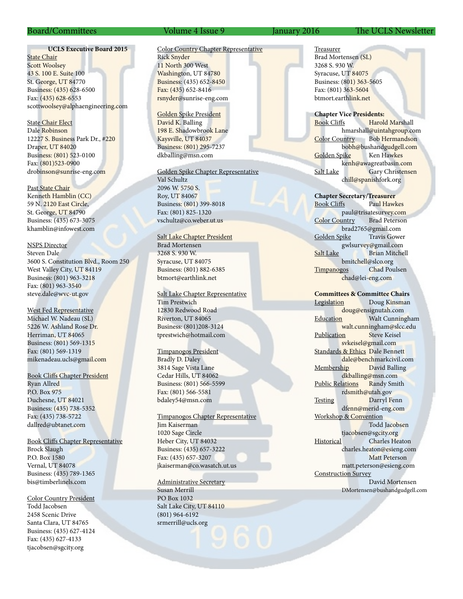#### **UCLS Executive Board 2015**

**State Chair** Scott Woolsey 43 S. 100 E. Suite 100 St. George, UT 84770 Business: (435) 628-6500 Fax: (435) 628-6553 scottwoolsey@alphaengineering.com

State Chair Elect Dale Robinson 12227 S. Business Park Dr., #220 Draper, UT 84020 Business: (801) 523-0100 Fax: (801)523-0900 drobinson@sunrise-eng.com

Past State Chair Kenneth Hamblin (CC) 59 N. 2120 East Circle, St. George, UT 84790 Business: (435) 673-3075 khamblin@infowest.com

NSPS Director Steven Dale 3600 S. Constitution Blvd., Room 250 West Valley City, UT 84119 Business: (801) 963-3218 Fax: (801) 963-3540 steve.dale@wvc-ut.gov

West Fed Representative Michael W. Nadeau (SL) 5226 W. Ashland Rose Dr. Herriman, UT 84065 Business: (801) 569-1315 Fax: (801) 569-1319 mikenadeau.ucls@gmail.com

Book Cliffs Chapter President Ryan Allred P.O. Box 975 Duchesne, UT 84021 Business: (435) 738-5352 Fax: (435) 738-5722 dallred@ubtanet.com

Book Cliffs Chapter Representative Brock Slaugh P.O. Box 1580 Vernal, UT 84078 Business: (435) 789-1365 bis@timberlinels.com

Color Country President Todd Jacobsen 2458 Scenic Drive Santa Clara, UT 84765 Business: (435) 627-4124 Fax: (435) 627-4133 tjacobsen@sgcity.org

#### Color Country Chapter Representative Rick Snyder 11 North 300 West Washington, UT 84780 Business: (435) 652-8450 Fax: (435) 652-8416 rsnyder@sunrise-eng.com

Golden Spike President David K. Balling 198 E. Shadowbrook Lane Kaysville, UT 84037 Business: (801) 295-7237 dkballing@msn.com

Golden Spike Chapter Representative Val Schultz 2096 W. 5750 S.

Roy, UT 84067 Business: (801) 399-8018 Fax: (801) 825-1320 vschultz@co.weber.ut.us

Salt Lake Chapter President Brad Mortensen 3268 S. 930 W. Syracuse, UT 84075 Business: (801) 882-6385 btmort@earthlink.net

Salt Lake Chapter Representative

Tim Prestwich 12830 Redwood Road Riverton, UT 84065 Business: (801)208-3124 tprestwich@hotmail.com

Timpanogos President Bradly D. Daley 3814 Sage Vista Lane Cedar Hills, UT 84062 Business: (801) 566-5599 Fax: (801) 566-5581 bdaley54@msn.com

Timpanogos Chapter Representative Jim Kaiserman

1020 Sage Circle Heber City, UT 84032 Business: (435) 657-3222 Fax: (435) 657-3207 jkaiserman@co.wasatch.ut.us

Administrative Secretary Susan Merrill PO Box 1032 Salt Lake City, UT 84110 (801) 964-6192 srmerrill@ucls.org

#### Board/Committees Volume 4 Issue 9 January 2016 The UCLS Newsletter

Treasurer Brad Mortensen (SL) 3268 S. 930 W. Syracuse, UT 84075 Business: (801) 363-5605 Fax: (801) 363-5604 btmort.earthlink.net

**Chapter Vice Presidents:** Book Cliffs Harold Marshall hmarshall@uintahgroup.com Color Country Bob Hermandson bobh@bushandgudgell.com Golden Spike Ken Hawkes kenh@awagreatbasin.com Salt Lake Gary Christensen chill@spanishfork.org

**Chapter Secretary/Treasurer** Book Cliffs Paul Hawkes paul@trisatesurvey.com Color Country brad2765@gmail.com Golden Spike Travis Gower gwlsurvey@gmail.com Salt Lake Brian Mitchell bmitchell@slco.org Timpanogos Chad Poulsen chad@lei-eng.com

**Committees & Committee Chairs** Legislation Doug Kinsman doug@ensignutah.com Education **Walt Cunningham** walt.cunningham@slcc.edu<br>on Steve Keisel Publication svkeisel@gmail.com Standards & Ethics Dale Bennett dale@benchmarkcivil.com Membership David Balling dkballing@msn.com Public Relations Randy Smith rdsmith@utah.gov Testing Darryl Fenn dfenn@merid-eng.com Workshop & Convention Todd Jacobsen tjacobsen@sgcity.org Historical Charles Heaton charles.heaton@esieng.com Matt Peterson matt.peterson@esieng.com Construction Survey David Mortensen DMortensen@bushandgudgell.com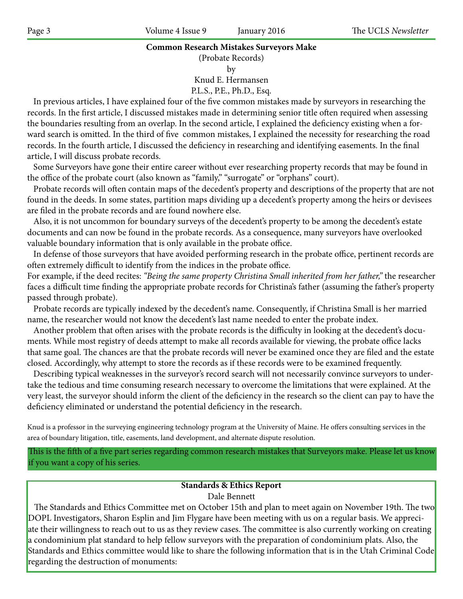#### **Common Research Mistakes Surveyors Make**

(Probate Records)

by

Knud E. Hermansen

P.L.S., P.E., Ph.D., Esq.

 In previous articles, I have explained four of the five common mistakes made by surveyors in researching the records. In the first article, I discussed mistakes made in determining senior title often required when assessing the boundaries resulting from an overlap. In the second article, I explained the deficiency existing when a forward search is omitted. In the third of five common mistakes, I explained the necessity for researching the road records. In the fourth article, I discussed the deficiency in researching and identifying easements. In the final article, I will discuss probate records.

 Some Surveyors have gone their entire career without ever researching property records that may be found in the office of the probate court (also known as "family," "surrogate" or "orphans" court).

 Probate records will often contain maps of the decedent's property and descriptions of the property that are not found in the deeds. In some states, partition maps dividing up a decedent's property among the heirs or devisees are filed in the probate records and are found nowhere else.

 Also, it is not uncommon for boundary surveys of the decedent's property to be among the decedent's estate documents and can now be found in the probate records. As a consequence, many surveyors have overlooked valuable boundary information that is only available in the probate office.

 In defense of those surveyors that have avoided performing research in the probate office, pertinent records are often extremely difficult to identify from the indices in the probate office.

For example, if the deed recites: *"Being the same property Christina Small inherited from her father,"* the researcher faces a difficult time finding the appropriate probate records for Christina's father (assuming the father's property passed through probate).

 Probate records are typically indexed by the decedent's name. Consequently, if Christina Small is her married name, the researcher would not know the decedent's last name needed to enter the probate index.

 Another problem that often arises with the probate records is the difficulty in looking at the decedent's documents. While most registry of deeds attempt to make all records available for viewing, the probate office lacks that same goal. The chances are that the probate records will never be examined once they are filed and the estate closed. Accordingly, why attempt to store the records as if these records were to be examined frequently.

 Describing typical weaknesses in the surveyor's record search will not necessarily convince surveyors to undertake the tedious and time consuming research necessary to overcome the limitations that were explained. At the very least, the surveyor should inform the client of the deficiency in the research so the client can pay to have the deficiency eliminated or understand the potential deficiency in the research.

Knud is a professor in the surveying engineering technology program at the University of Maine. He offers consulting services in the area of boundary litigation, title, easements, land development, and alternate dispute resolution.

This is the fifth of a five part series regarding common research mistakes that Surveyors make. Please let us know if you want a copy of his series.

# **Standards & Ethics Report**

Dale Bennett

The Standards and Ethics Committee met on October 15th and plan to meet again on November 19th. The two DOPL Investigators, Sharon Esplin and Jim Flygare have been meeting with us on a regular basis. We appreciate their willingness to reach out to us as they review cases. The committee is also currently working on creating a condominium plat standard to help fellow surveyors with the preparation of condominium plats. Also, the Standards and Ethics committee would like to share the following information that is in the Utah Criminal Code regarding the destruction of monuments: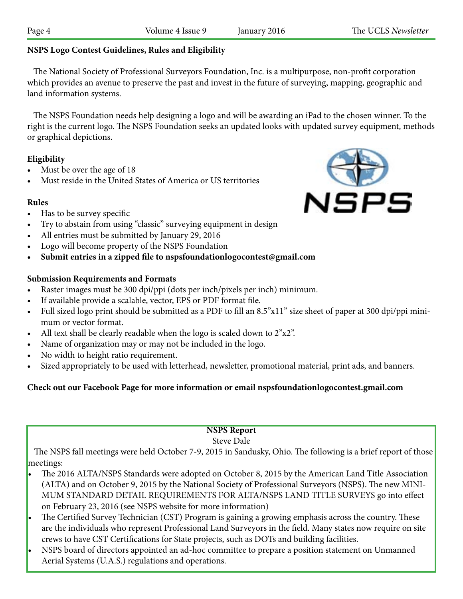## **NSPS Logo Contest Guidelines, Rules and Eligibility**

 The National Society of Professional Surveyors Foundation, Inc. is a multipurpose, non-profit corporation which provides an avenue to preserve the past and invest in the future of surveying, mapping, geographic and land information systems.

 The NSPS Foundation needs help designing a logo and will be awarding an iPad to the chosen winner. To the right is the current logo. The NSPS Foundation seeks an updated looks with updated survey equipment, methods or graphical depictions.

#### **Eligibility**

- Must be over the age of 18
- Must reside in the United States of America or US territories

#### **Rules**

- Has to be survey specific
- Try to abstain from using "classic" surveying equipment in design
- All entries must be submitted by January 29, 2016
- Logo will become property of the NSPS Foundation
- **• Submit entries in a zipped file to nspsfoundationlogocontest@gmail.com**

#### **Submission Requirements and Formats**

- • Raster images must be 300 dpi/ppi (dots per inch/pixels per inch) minimum.
- If available provide a scalable, vector, EPS or PDF format file.
- Full sized logo print should be submitted as a PDF to fill an 8.5"x11" size sheet of paper at 300 dpi/ppi minimum or vector format.
- All text shall be clearly readable when the logo is scaled down to  $2"x2"$ .
- Name of organization may or may not be included in the logo.
- No width to height ratio requirement.
- Sized appropriately to be used with letterhead, newsletter, promotional material, print ads, and banners.

## **Check out our Facebook Page for more information or email nspsfoundationlogocontest.gmail.com**

#### **NSPS Report**

#### Steve Dale

 The NSPS fall meetings were held October 7-9, 2015 in Sandusky, Ohio. The following is a brief report of those meetings:

- The 2016 ALTA/NSPS Standards were adopted on October 8, 2015 by the American Land Title Association (ALTA) and on October 9, 2015 by the National Society of Professional Surveyors (NSPS). The new MINI-MUM STANDARD DETAIL REQUIREMENTS FOR ALTA/NSPS LAND TITLE SURVEYS go into effect on February 23, 2016 (see NSPS website for more information)
- The Certified Survey Technician (CST) Program is gaining a growing emphasis across the country. These are the individuals who represent Professional Land Surveyors in the field. Many states now require on site crews to have CST Certifications for State projects, such as DOTs and building facilities.
- NSPS board of directors appointed an ad-hoc committee to prepare a position statement on Unmanned Aerial Systems (U.A.S.) regulations and operations.

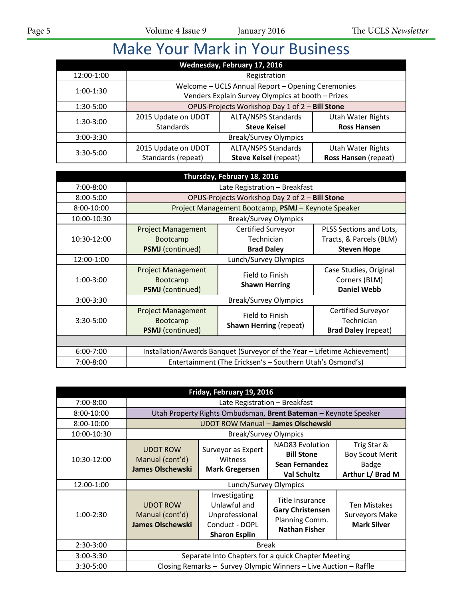# Make Your Mark in Your Business

|               |                     | Wednesday, February 17, 2016                      |                          |
|---------------|---------------------|---------------------------------------------------|--------------------------|
| 12:00-1:00    |                     | Registration                                      |                          |
| $1:00-1:30$   |                     | Welcome - UCLS Annual Report - Opening Ceremonies |                          |
|               |                     | Venders Explain Survey Olympics at booth - Prizes |                          |
| 1:30-5:00     |                     | OPUS-Projects Workshop Day 1 of 2 - Bill Stone    |                          |
| $1:30-3:00$   | 2015 Update on UDOT | <b>ALTA/NSPS Standards</b>                        | <b>Utah Water Rights</b> |
|               | <b>Standards</b>    | <b>Steve Keisel</b>                               | <b>Ross Hansen</b>       |
| $3:00 - 3:30$ |                     | <b>Break/Survey Olympics</b>                      |                          |
| $3:30 - 5:00$ | 2015 Update on UDOT | <b>ALTA/NSPS Standards</b>                        | <b>Utah Water Rights</b> |
|               | Standards (repeat)  | <b>Steve Keisel (repeat)</b>                      | Ross Hansen (repeat)     |

|               |                                                                         | Thursday, February 18, 2016                                               |                                                                          |
|---------------|-------------------------------------------------------------------------|---------------------------------------------------------------------------|--------------------------------------------------------------------------|
| 7:00-8:00     |                                                                         | Late Registration - Breakfast                                             |                                                                          |
| $8:00 - 5:00$ |                                                                         | OPUS-Projects Workshop Day 2 of 2 - Bill Stone                            |                                                                          |
| 8:00-10:00    |                                                                         | Project Management Bootcamp, PSMJ - Keynote Speaker                       |                                                                          |
| 10:00-10:30   |                                                                         | <b>Break/Survey Olympics</b>                                              |                                                                          |
| 10:30-12:00   | <b>Project Management</b><br><b>Bootcamp</b><br><b>PSMJ</b> (continued) | Certified Surveyor<br>Technician<br><b>Brad Daley</b>                     | PLSS Sections and Lots,<br>Tracts, & Parcels (BLM)<br><b>Steven Hope</b> |
| 12:00-1:00    |                                                                         | Lunch/Survey Olympics                                                     |                                                                          |
| $1:00-3:00$   | <b>Project Management</b><br><b>Bootcamp</b><br><b>PSMJ</b> (continued) | Field to Finish<br><b>Shawn Herring</b>                                   | Case Studies, Original<br>Corners (BLM)<br><b>Daniel Webb</b>            |
| $3:00 - 3:30$ |                                                                         | <b>Break/Survey Olympics</b>                                              |                                                                          |
| $3:30 - 5:00$ | <b>Project Management</b><br><b>Bootcamp</b><br><b>PSMJ</b> (continued) | Field to Finish<br><b>Shawn Herring (repeat)</b>                          | Certified Surveyor<br>Technician<br><b>Brad Daley (repeat)</b>           |
|               |                                                                         |                                                                           |                                                                          |
| $6:00 - 7:00$ |                                                                         | Installation/Awards Banquet (Surveyor of the Year - Lifetime Achievement) |                                                                          |
| 7:00-8:00     |                                                                         | Entertainment (The Ericksen's - Southern Utah's Osmond's)                 |                                                                          |

|               |                                                               | Friday, February 19, 2016                                                                 |                                                                                      |                                                                    |
|---------------|---------------------------------------------------------------|-------------------------------------------------------------------------------------------|--------------------------------------------------------------------------------------|--------------------------------------------------------------------|
| 7:00-8:00     |                                                               | Late Registration - Breakfast                                                             |                                                                                      |                                                                    |
| 8:00-10:00    |                                                               | Utah Property Rights Ombudsman, Brent Bateman - Keynote Speaker                           |                                                                                      |                                                                    |
| 8:00-10:00    |                                                               | <b>UDOT ROW Manual - James Olschewski</b>                                                 |                                                                                      |                                                                    |
| 10:00-10:30   |                                                               | <b>Break/Survey Olympics</b>                                                              |                                                                                      |                                                                    |
| 10:30-12:00   | <b>UDOT ROW</b><br>Manual (cont'd)<br><b>James Olschewski</b> | Surveyor as Expert<br>Witness<br><b>Mark Gregersen</b>                                    | <b>NAD83 Evolution</b><br><b>Bill Stone</b><br>Sean Fernandez<br><b>Val Schultz</b>  | Trig Star &<br><b>Boy Scout Merit</b><br>Badge<br>Arthur L/ Brad M |
|               |                                                               |                                                                                           |                                                                                      |                                                                    |
| 12:00-1:00    |                                                               | Lunch/Survey Olympics                                                                     |                                                                                      |                                                                    |
| $1:00-2:30$   | <b>UDOT ROW</b><br>Manual (cont'd)<br><b>James Olschewski</b> | Investigating<br>Unlawful and<br>Unprofessional<br>Conduct - DOPL<br><b>Sharon Esplin</b> | Title Insurance<br><b>Gary Christensen</b><br>Planning Comm.<br><b>Nathan Fisher</b> | Ten Mistakes<br>Surveyors Make<br><b>Mark Silver</b>               |
| $2:30-3:00$   |                                                               | <b>Break</b>                                                                              |                                                                                      |                                                                    |
| $3:00 - 3:30$ |                                                               | Separate Into Chapters for a quick Chapter Meeting                                        |                                                                                      |                                                                    |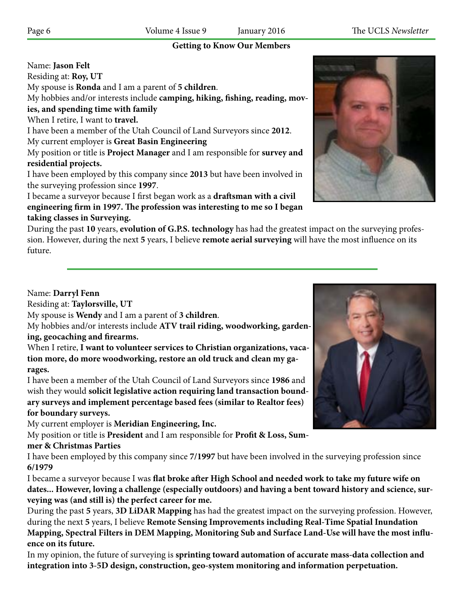#### **Getting to Know Our Members**

| Name: Jason Felt                                                                          |
|-------------------------------------------------------------------------------------------|
| Residing at: Roy, UT                                                                      |
| My spouse is Ronda and I am a parent of 5 children.                                       |
| My hobbies and/or interests include camping, hiking, fishing, reading, mov-               |
| ies, and spending time with family                                                        |
| When I retire, I want to travel.                                                          |
| I have been a member of the Utah Council of Land Surveyors since 2012.                    |
| My current employer is Great Basin Engineering                                            |
| My position or title is <b>Project Manager</b> and I am responsible for <b>survey and</b> |
| residential projects.                                                                     |
| I have been employed by this company since 2013 but have been involved in                 |
| the surveying profession since 1997.                                                      |
| I became a surveyor because I first began work as a draftsman with a civil                |
|                                                                                           |

**engineering firm in 1997. The profession was interesting to me so I began taking classes in Surveying.**

During the past **10** years, **evolution of G.P.S. technology** has had the greatest impact on the surveying profession. However, during the next **5** years, I believe **remote aerial surveying** will have the most influence on its future.

#### Name: **Darryl Fenn**

Residing at: **Taylorsville, UT**

My spouse is **Wendy** and I am a parent of **3 children**.

My hobbies and/or interests include **ATV trail riding, woodworking, gardening, geocaching and firearms.**

When I retire, **I want to volunteer services to Christian organizations, vacation more, do more woodworking, restore an old truck and clean my garages.**

I have been a member of the Utah Council of Land Surveyors since **1986** and wish they would **solicit legislative action requiring land transaction boundary surveys and implement percentage based fees (similar to Realtor fees) for boundary surveys.**

My current employer is **Meridian Engineering, Inc.**

My position or title is **President** and I am responsible for **Profit & Loss, Summer & Christmas Parties**

I have been employed by this company since **7/1997** but have been involved in the surveying profession since **6/1979**

I became a surveyor because I was **flat broke after High School and needed work to take my future wife on dates... However, loving a challenge (especially outdoors) and having a bent toward history and science, surveying was (and still is) the perfect career for me.**

During the past **5** years, **3D LiDAR Mapping** has had the greatest impact on the surveying profession. However, during the next **5** years, I believe **Remote Sensing Improvements including Real-Time Spatial Inundation Mapping, Spectral Filters in DEM Mapping, Monitoring Sub and Surface Land-Use will have the most influence on its future.**

In my opinion, the future of surveying is **sprinting toward automation of accurate mass-data collection and integration into 3-5D design, construction, geo-system monitoring and information perpetuation.**



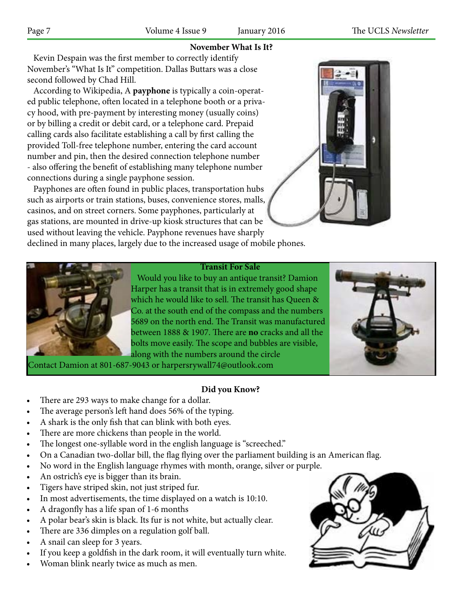#### **November What Is It?**

 Kevin Despain was the first member to correctly identify November's "What Is It" competition. Dallas Buttars was a close second followed by Chad Hill.

 According to Wikipedia, A **payphone** is typically a coin-operated public telephone, often located in a telephone booth or a privacy hood, with pre-payment by interesting money (usually coins) or by billing a credit or debit card, or a telephone card. Prepaid calling cards also facilitate establishing a call by first calling the provided Toll-free telephone number, entering the card account number and pin, then the desired connection telephone number - also offering the benefit of establishing many telephone number connections during a single payphone session.

 Payphones are often found in public places, transportation hubs such as airports or train stations, buses, convenience stores, malls, casinos, and on street corners. Some payphones, particularly at gas stations, are mounted in drive-up kiosk structures that can be used without leaving the vehicle. Payphone revenues have sharply



declined in many places, largely due to the increased usage of mobile phones.



**Transit For Sale**

 Would you like to buy an antique transit? Damion Harper has a transit that is in extremely good shape which he would like to sell. The transit has Queen & Co. at the south end of the compass and the numbers 5689 on the north end. The Transit was manufactured between 1888 & 1907. There are **no** cracks and all the bolts move easily. The scope and bubbles are visible, along with the numbers around the circle



#### **Did you Know?**

- There are 293 ways to make change for a dollar.
- The average person's left hand does 56% of the typing.
- A shark is the only fish that can blink with both eyes.
- There are more chickens than people in the world.
- The longest one-syllable word in the english language is "screeched."
- On a Canadian two-dollar bill, the flag flying over the parliament building is an American flag.
- No word in the English language rhymes with month, orange, silver or purple.
- An ostrich's eye is bigger than its brain.
- Tigers have striped skin, not just striped fur.
- In most advertisements, the time displayed on a watch is 10:10.
- A dragonfly has a life span of 1-6 months
- A polar bear's skin is black. Its fur is not white, but actually clear.
- There are 336 dimples on a regulation golf ball.
- A snail can sleep for 3 years.
- If you keep a goldfish in the dark room, it will eventually turn white.
- Woman blink nearly twice as much as men.

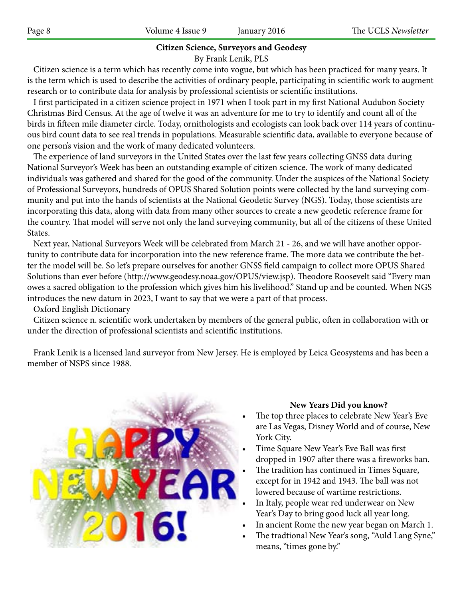### **Citizen Science, Surveyors and Geodesy**

By Frank Lenik, PLS

 Citizen science is a term which has recently come into vogue, but which has been practiced for many years. It is the term which is used to describe the activities of ordinary people, participating in scientific work to augment research or to contribute data for analysis by professional scientists or scientific institutions.

 I first participated in a citizen science project in 1971 when I took part in my first National Audubon Society Christmas Bird Census. At the age of twelve it was an adventure for me to try to identify and count all of the birds in fifteen mile diameter circle. Today, ornithologists and ecologists can look back over 114 years of continuous bird count data to see real trends in populations. Measurable scientific data, available to everyone because of one person's vision and the work of many dedicated volunteers.

 The experience of land surveyors in the United States over the last few years collecting GNSS data during National Surveyor's Week has been an outstanding example of citizen science. The work of many dedicated individuals was gathered and shared for the good of the community. Under the auspices of the National Society of Professional Surveyors, hundreds of OPUS Shared Solution points were collected by the land surveying community and put into the hands of scientists at the National Geodetic Survey (NGS). Today, those scientists are incorporating this data, along with data from many other sources to create a new geodetic reference frame for the country. That model will serve not only the land surveying community, but all of the citizens of these United States.

 Next year, National Surveyors Week will be celebrated from March 21 - 26, and we will have another opportunity to contribute data for incorporation into the new reference frame. The more data we contribute the better the model will be. So let's prepare ourselves for another GNSS field campaign to collect more OPUS Shared Solutions than ever before (http://www.geodesy.noaa.gov/OPUS/view.jsp). Theodore Roosevelt said "Every man owes a sacred obligation to the profession which gives him his livelihood." Stand up and be counted. When NGS introduces the new datum in 2023, I want to say that we were a part of that process.

#### Oxford English Dictionary

 Citizen science n. scientific work undertaken by members of the general public, often in collaboration with or under the direction of professional scientists and scientific institutions.

 Frank Lenik is a licensed land surveyor from New Jersey. He is employed by Leica Geosystems and has been a member of NSPS since 1988.



#### **New Years Did you know?**

- The top three places to celebrate New Year's Eve are Las Vegas, Disney World and of course, New York City.
- Time Square New Year's Eve Ball was first dropped in 1907 after there was a fireworks ban.
- The tradition has continued in Times Square, except for in 1942 and 1943. The ball was not lowered because of wartime restrictions.
- In Italy, people wear red underwear on New Year's Day to bring good luck all year long.
- In ancient Rome the new year began on March 1.
- The tradtional New Year's song, "Auld Lang Syne," means, "times gone by."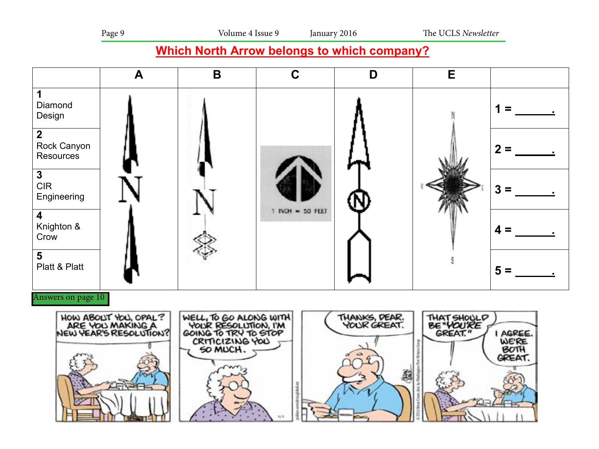## **Which North Arrow belongs to which company?**